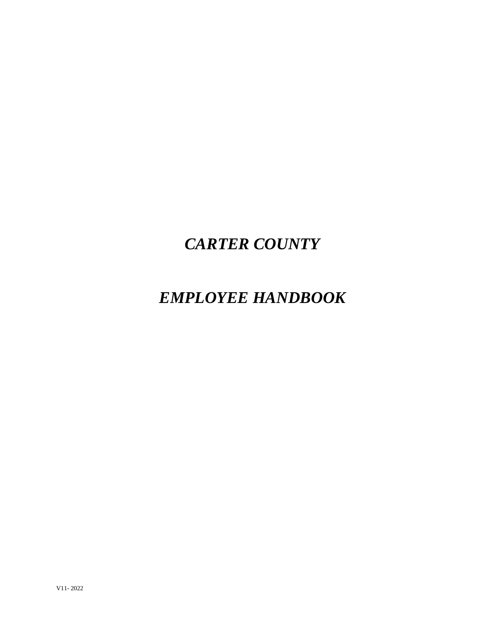# *CARTER COUNTY*

# *EMPLOYEE HANDBOOK*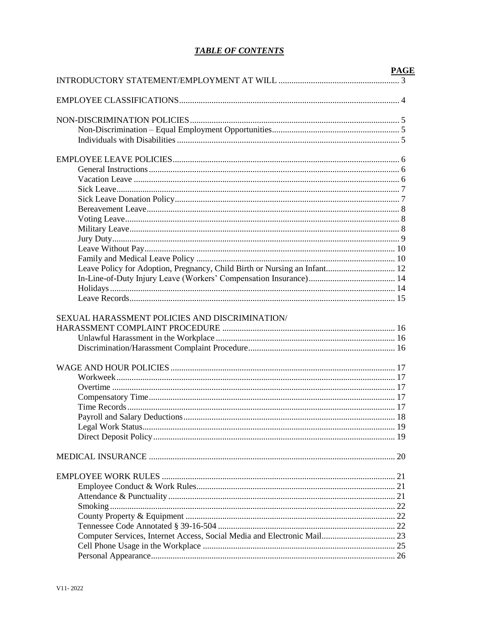# **TABLE OF CONTENTS**

|                                                                           | <b>PAGE</b> |
|---------------------------------------------------------------------------|-------------|
|                                                                           |             |
|                                                                           |             |
|                                                                           |             |
|                                                                           |             |
|                                                                           |             |
|                                                                           |             |
|                                                                           |             |
|                                                                           |             |
|                                                                           |             |
|                                                                           |             |
|                                                                           |             |
|                                                                           |             |
|                                                                           |             |
| Leave Policy for Adoption, Pregnancy, Child Birth or Nursing an Infant 12 |             |
|                                                                           |             |
|                                                                           |             |
|                                                                           |             |
| SEXUAL HARASSMENT POLICIES AND DISCRIMINATION/                            |             |
|                                                                           |             |
|                                                                           |             |
|                                                                           |             |
|                                                                           |             |
|                                                                           |             |
|                                                                           |             |
|                                                                           |             |
|                                                                           |             |
|                                                                           |             |
|                                                                           |             |
|                                                                           |             |
|                                                                           |             |
|                                                                           |             |
|                                                                           |             |
|                                                                           |             |
| Computer Services, Internet Access, Social Media and Electronic Mail 23   |             |
|                                                                           |             |
|                                                                           |             |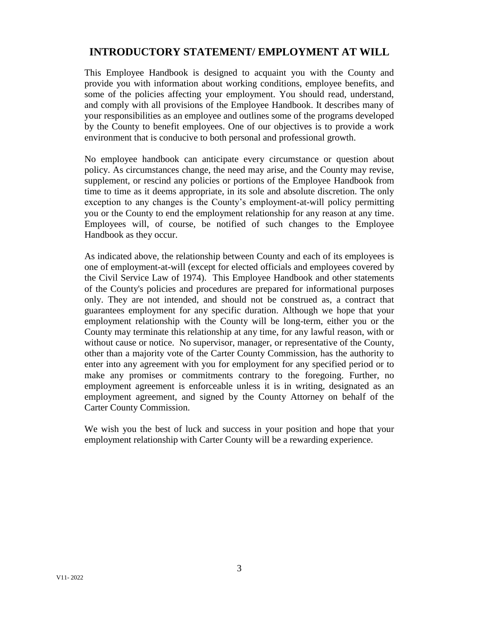# **INTRODUCTORY STATEMENT/ EMPLOYMENT AT WILL**

This Employee Handbook is designed to acquaint you with the County and provide you with information about working conditions, employee benefits, and some of the policies affecting your employment. You should read, understand, and comply with all provisions of the Employee Handbook. It describes many of your responsibilities as an employee and outlines some of the programs developed by the County to benefit employees. One of our objectives is to provide a work environment that is conducive to both personal and professional growth.

No employee handbook can anticipate every circumstance or question about policy. As circumstances change, the need may arise, and the County may revise, supplement, or rescind any policies or portions of the Employee Handbook from time to time as it deems appropriate, in its sole and absolute discretion. The only exception to any changes is the County's employment-at-will policy permitting you or the County to end the employment relationship for any reason at any time. Employees will, of course, be notified of such changes to the Employee Handbook as they occur.

As indicated above, the relationship between County and each of its employees is one of employment-at-will (except for elected officials and employees covered by the Civil Service Law of 1974). This Employee Handbook and other statements of the County's policies and procedures are prepared for informational purposes only. They are not intended, and should not be construed as, a contract that guarantees employment for any specific duration. Although we hope that your employment relationship with the County will be long-term, either you or the County may terminate this relationship at any time, for any lawful reason, with or without cause or notice. No supervisor, manager, or representative of the County, other than a majority vote of the Carter County Commission, has the authority to enter into any agreement with you for employment for any specified period or to make any promises or commitments contrary to the foregoing. Further, no employment agreement is enforceable unless it is in writing, designated as an employment agreement, and signed by the County Attorney on behalf of the Carter County Commission.

We wish you the best of luck and success in your position and hope that your employment relationship with Carter County will be a rewarding experience.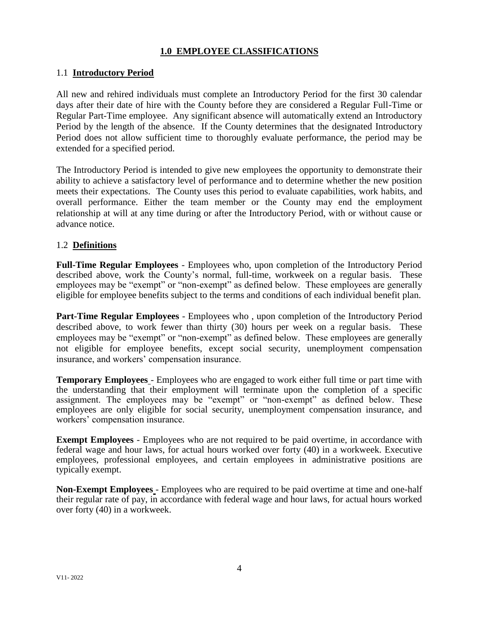# **1.0 EMPLOYEE CLASSIFICATIONS**

# 1.1 **Introductory Period**

All new and rehired individuals must complete an Introductory Period for the first 30 calendar days after their date of hire with the County before they are considered a Regular Full-Time or Regular Part-Time employee. Any significant absence will automatically extend an Introductory Period by the length of the absence. If the County determines that the designated Introductory Period does not allow sufficient time to thoroughly evaluate performance, the period may be extended for a specified period.

The Introductory Period is intended to give new employees the opportunity to demonstrate their ability to achieve a satisfactory level of performance and to determine whether the new position meets their expectations. The County uses this period to evaluate capabilities, work habits, and overall performance. Either the team member or the County may end the employment relationship at will at any time during or after the Introductory Period, with or without cause or advance notice.

# 1.2 **Definitions**

**Full-Time Regular Employees** - Employees who, upon completion of the Introductory Period described above, work the County's normal, full-time, workweek on a regular basis. These employees may be "exempt" or "non-exempt" as defined below. These employees are generally eligible for employee benefits subject to the terms and conditions of each individual benefit plan.

**Part-Time Regular Employees** - Employees who, upon completion of the Introductory Period described above, to work fewer than thirty (30) hours per week on a regular basis. These employees may be "exempt" or "non-exempt" as defined below. These employees are generally not eligible for employee benefits, except social security, unemployment compensation insurance, and workers' compensation insurance.

**Temporary Employees** - Employees who are engaged to work either full time or part time with the understanding that their employment will terminate upon the completion of a specific assignment. The employees may be "exempt" or "non-exempt" as defined below. These employees are only eligible for social security, unemployment compensation insurance, and workers' compensation insurance.

**Exempt Employees** - Employees who are not required to be paid overtime, in accordance with federal wage and hour laws, for actual hours worked over forty (40) in a workweek. Executive employees, professional employees, and certain employees in administrative positions are typically exempt.

**Non-Exempt Employees** - Employees who are required to be paid overtime at time and one-half their regular rate of pay, in accordance with federal wage and hour laws, for actual hours worked over forty (40) in a workweek.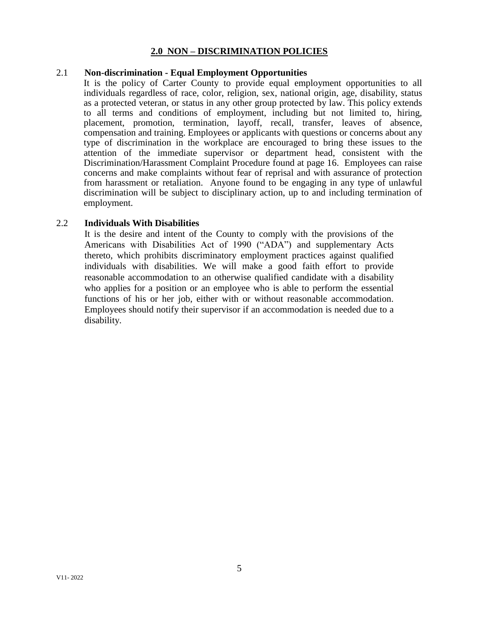### **2.0 NON – DISCRIMINATION POLICIES**

### 2.1 **Non-discrimination - Equal Employment Opportunities**

It is the policy of Carter County to provide equal employment opportunities to all individuals regardless of race, color, religion, sex, national origin, age, disability, status as a protected veteran, or status in any other group protected by law. This policy extends to all terms and conditions of employment, including but not limited to, hiring, placement, promotion, termination, layoff, recall, transfer, leaves of absence, compensation and training. Employees or applicants with questions or concerns about any type of discrimination in the workplace are encouraged to bring these issues to the attention of the immediate supervisor or department head, consistent with the Discrimination/Harassment Complaint Procedure found at page 16. Employees can raise concerns and make complaints without fear of reprisal and with assurance of protection from harassment or retaliation. Anyone found to be engaging in any type of unlawful discrimination will be subject to disciplinary action, up to and including termination of employment.

### 2.2 **Individuals With Disabilities**

It is the desire and intent of the County to comply with the provisions of the Americans with Disabilities Act of 1990 ("ADA") and supplementary Acts thereto, which prohibits discriminatory employment practices against qualified individuals with disabilities. We will make a good faith effort to provide reasonable accommodation to an otherwise qualified candidate with a disability who applies for a position or an employee who is able to perform the essential functions of his or her job, either with or without reasonable accommodation. Employees should notify their supervisor if an accommodation is needed due to a disability.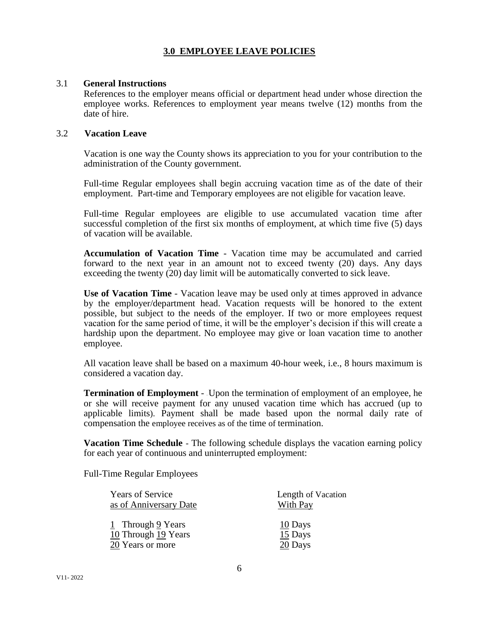# **3.0 EMPLOYEE LEAVE POLICIES**

### 3.1 **General Instructions**

References to the employer means official or department head under whose direction the employee works. References to employment year means twelve (12) months from the date of hire.

### 3.2 **Vacation Leave**

Vacation is one way the County shows its appreciation to you for your contribution to the administration of the County government.

Full-time Regular employees shall begin accruing vacation time as of the date of their employment. Part-time and Temporary employees are not eligible for vacation leave.

Full-time Regular employees are eligible to use accumulated vacation time after successful completion of the first six months of employment, at which time five (5) days of vacation will be available.

**Accumulation of Vacation Time** - Vacation time may be accumulated and carried forward to the next year in an amount not to exceed twenty (20) days. Any days exceeding the twenty (20) day limit will be automatically converted to sick leave.

**Use of Vacation Time** - Vacation leave may be used only at times approved in advance by the employer/department head. Vacation requests will be honored to the extent possible, but subject to the needs of the employer. If two or more employees request vacation for the same period of time, it will be the employer's decision if this will create a hardship upon the department. No employee may give or loan vacation time to another employee.

All vacation leave shall be based on a maximum 40-hour week, i.e., 8 hours maximum is considered a vacation day.

**Termination of Employment** - Upon the termination of employment of an employee, he or she will receive payment for any unused vacation time which has accrued (up to applicable limits). Payment shall be made based upon the normal daily rate of compensation the employee receives as of the time of termination.

**Vacation Time Schedule** - The following schedule displays the vacation earning policy for each year of continuous and uninterrupted employment:

Full-Time Regular Employees

| <b>Years of Service</b> | Length of Vacation |
|-------------------------|--------------------|
| as of Anniversary Date  | <b>With Pay</b>    |
| 1 Through 9 Years       | 10 Days            |
| 10 Through 19 Years     | $15$ Days          |
| 20 Years or more        | 20 Days            |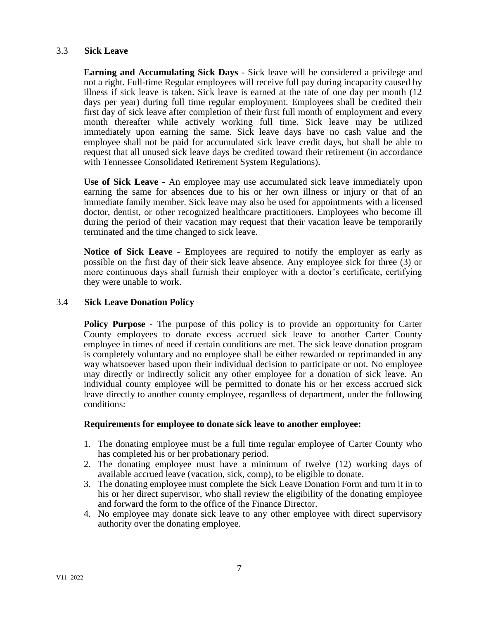### 3.3 **Sick Leave**

**Earning and Accumulating Sick Days** - Sick leave will be considered a privilege and not a right. Full-time Regular employees will receive full pay during incapacity caused by illness if sick leave is taken. Sick leave is earned at the rate of one day per month (12 days per year) during full time regular employment. Employees shall be credited their first day of sick leave after completion of their first full month of employment and every month thereafter while actively working full time. Sick leave may be utilized immediately upon earning the same. Sick leave days have no cash value and the employee shall not be paid for accumulated sick leave credit days, but shall be able to request that all unused sick leave days be credited toward their retirement (in accordance with Tennessee Consolidated Retirement System Regulations).

**Use of Sick Leave** - An employee may use accumulated sick leave immediately upon earning the same for absences due to his or her own illness or injury or that of an immediate family member. Sick leave may also be used for appointments with a licensed doctor, dentist, or other recognized healthcare practitioners. Employees who become ill during the period of their vacation may request that their vacation leave be temporarily terminated and the time changed to sick leave.

**Notice of Sick Leave** - Employees are required to notify the employer as early as possible on the first day of their sick leave absence. Any employee sick for three (3) or more continuous days shall furnish their employer with a doctor's certificate, certifying they were unable to work.

### 3.4 **Sick Leave Donation Policy**

**Policy Purpose** - The purpose of this policy is to provide an opportunity for Carter County employees to donate excess accrued sick leave to another Carter County employee in times of need if certain conditions are met. The sick leave donation program is completely voluntary and no employee shall be either rewarded or reprimanded in any way whatsoever based upon their individual decision to participate or not. No employee may directly or indirectly solicit any other employee for a donation of sick leave. An individual county employee will be permitted to donate his or her excess accrued sick leave directly to another county employee, regardless of department, under the following conditions:

### **Requirements for employee to donate sick leave to another employee:**

- 1. The donating employee must be a full time regular employee of Carter County who has completed his or her probationary period.
- 2. The donating employee must have a minimum of twelve (12) working days of available accrued leave (vacation, sick, comp), to be eligible to donate.
- 3. The donating employee must complete the Sick Leave Donation Form and turn it in to his or her direct supervisor, who shall review the eligibility of the donating employee and forward the form to the office of the Finance Director.
- 4. No employee may donate sick leave to any other employee with direct supervisory authority over the donating employee.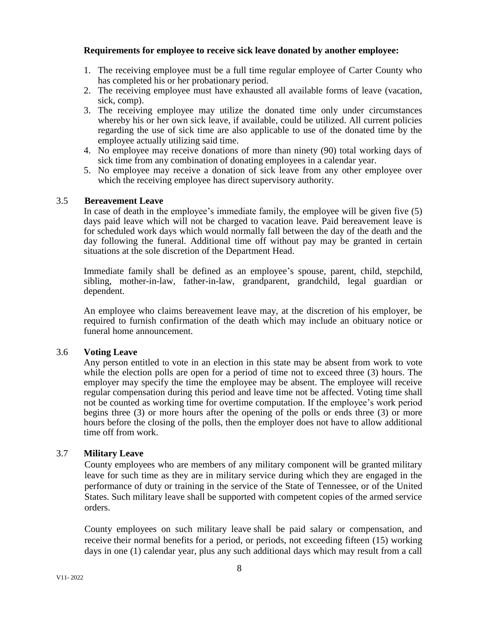### **Requirements for employee to receive sick leave donated by another employee:**

- 1. The receiving employee must be a full time regular employee of Carter County who has completed his or her probationary period.
- 2. The receiving employee must have exhausted all available forms of leave (vacation, sick, comp).
- 3. The receiving employee may utilize the donated time only under circumstances whereby his or her own sick leave, if available, could be utilized. All current policies regarding the use of sick time are also applicable to use of the donated time by the employee actually utilizing said time.
- 4. No employee may receive donations of more than ninety (90) total working days of sick time from any combination of donating employees in a calendar year.
- 5. No employee may receive a donation of sick leave from any other employee over which the receiving employee has direct supervisory authority.

### 3.5 **Bereavement Leave**

In case of death in the employee's immediate family, the employee will be given five (5) days paid leave which will not be charged to vacation leave. Paid bereavement leave is for scheduled work days which would normally fall between the day of the death and the day following the funeral. Additional time off without pay may be granted in certain situations at the sole discretion of the Department Head.

Immediate family shall be defined as an employee's spouse, parent, child, stepchild, sibling, mother-in-law, father-in-law, grandparent, grandchild, legal guardian or dependent.

An employee who claims bereavement leave may, at the discretion of his employer, be required to furnish confirmation of the death which may include an obituary notice or funeral home announcement.

### 3.6 **Voting Leave**

Any person entitled to vote in an election in this state may be absent from work to vote while the election polls are open for a period of time not to exceed three (3) hours. The employer may specify the time the employee may be absent. The employee will receive regular compensation during this period and leave time not be affected. Voting time shall not be counted as working time for overtime computation. If the employee's work period begins three (3) or more hours after the opening of the polls or ends three (3) or more hours before the closing of the polls, then the employer does not have to allow additional time off from work.

# 3.7 **Military Leave**

County employees who are members of any military component will be granted military leave for such time as they are in military service during which they are engaged in the performance of duty or training in the service of the State of Tennessee, or of the United States. Such military leave shall be supported with competent copies of the armed service orders.

County employees on such military leave shall be paid salary or compensation, and receive their normal benefits for a period, or periods, not exceeding fifteen (15) working days in one (1) calendar year, plus any such additional days which may result from a call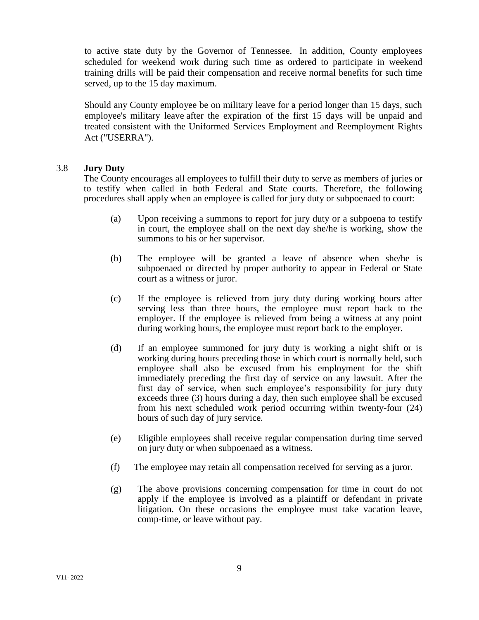to active state duty by the Governor of Tennessee. In addition, County employees scheduled for weekend work during such time as ordered to participate in weekend training drills will be paid their compensation and receive normal benefits for such time served, up to the 15 day maximum.

Should any County employee be on military leave for a period longer than 15 days, such employee's military leave after the expiration of the first 15 days will be unpaid and treated consistent with the Uniformed Services Employment and Reemployment Rights Act ("USERRA").

### 3.8 **Jury Duty**

The County encourages all employees to fulfill their duty to serve as members of juries or to testify when called in both Federal and State courts. Therefore, the following procedures shall apply when an employee is called for jury duty or subpoenaed to court:

- (a) Upon receiving a summons to report for jury duty or a subpoena to testify in court, the employee shall on the next day she/he is working, show the summons to his or her supervisor.
- (b) The employee will be granted a leave of absence when she/he is subpoenaed or directed by proper authority to appear in Federal or State court as a witness or juror.
- (c) If the employee is relieved from jury duty during working hours after serving less than three hours, the employee must report back to the employer. If the employee is relieved from being a witness at any point during working hours, the employee must report back to the employer.
- (d) If an employee summoned for jury duty is working a night shift or is working during hours preceding those in which court is normally held, such employee shall also be excused from his employment for the shift immediately preceding the first day of service on any lawsuit. After the first day of service, when such employee's responsibility for jury duty exceeds three (3) hours during a day, then such employee shall be excused from his next scheduled work period occurring within twenty-four (24) hours of such day of jury service.
- (e) Eligible employees shall receive regular compensation during time served on jury duty or when subpoenaed as a witness.
- (f) The employee may retain all compensation received for serving as a juror.
- (g) The above provisions concerning compensation for time in court do not apply if the employee is involved as a plaintiff or defendant in private litigation. On these occasions the employee must take vacation leave, comp-time, or leave without pay.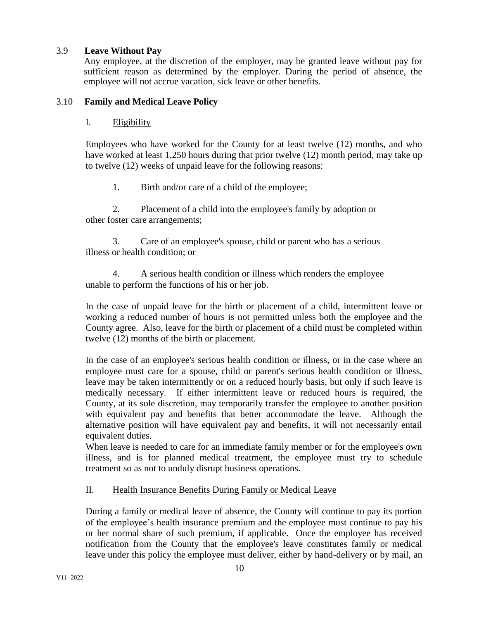# 3.9 **Leave Without Pay**

Any employee, at the discretion of the employer, may be granted leave without pay for sufficient reason as determined by the employer. During the period of absence, the employee will not accrue vacation, sick leave or other benefits.

# 3.10 **Family and Medical Leave Policy**

### I. Eligibility

Employees who have worked for the County for at least twelve (12) months, and who have worked at least 1,250 hours during that prior twelve (12) month period, may take up to twelve (12) weeks of unpaid leave for the following reasons:

1. Birth and/or care of a child of the employee;

2. Placement of a child into the employee's family by adoption or other foster care arrangements;

3. Care of an employee's spouse, child or parent who has a serious illness or health condition; or

4. A serious health condition or illness which renders the employee unable to perform the functions of his or her job.

In the case of unpaid leave for the birth or placement of a child, intermittent leave or working a reduced number of hours is not permitted unless both the employee and the County agree. Also, leave for the birth or placement of a child must be completed within twelve (12) months of the birth or placement.

In the case of an employee's serious health condition or illness, or in the case where an employee must care for a spouse, child or parent's serious health condition or illness, leave may be taken intermittently or on a reduced hourly basis, but only if such leave is medically necessary. If either intermittent leave or reduced hours is required, the County, at its sole discretion, may temporarily transfer the employee to another position with equivalent pay and benefits that better accommodate the leave. Although the alternative position will have equivalent pay and benefits, it will not necessarily entail equivalent duties.

When leave is needed to care for an immediate family member or for the employee's own illness, and is for planned medical treatment, the employee must try to schedule treatment so as not to unduly disrupt business operations.

# II. Health Insurance Benefits During Family or Medical Leave

During a family or medical leave of absence, the County will continue to pay its portion of the employee's health insurance premium and the employee must continue to pay his or her normal share of such premium, if applicable. Once the employee has received notification from the County that the employee's leave constitutes family or medical leave under this policy the employee must deliver, either by hand-delivery or by mail, an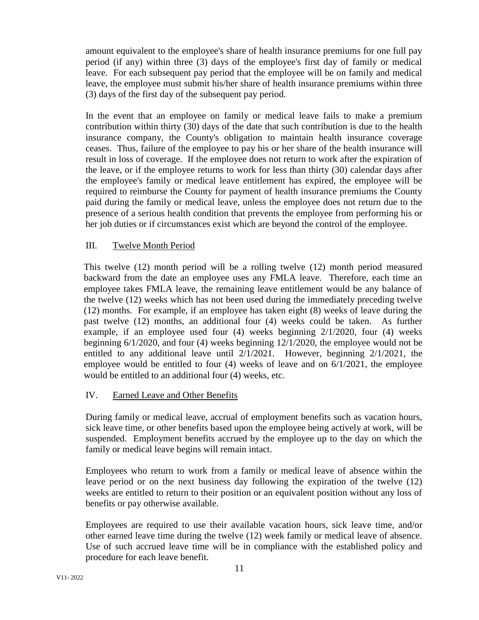amount equivalent to the employee's share of health insurance premiums for one full pay period (if any) within three (3) days of the employee's first day of family or medical leave. For each subsequent pay period that the employee will be on family and medical leave, the employee must submit his/her share of health insurance premiums within three (3) days of the first day of the subsequent pay period.

In the event that an employee on family or medical leave fails to make a premium contribution within thirty (30) days of the date that such contribution is due to the health insurance company, the County's obligation to maintain health insurance coverage ceases. Thus, failure of the employee to pay his or her share of the health insurance will result in loss of coverage. If the employee does not return to work after the expiration of the leave, or if the employee returns to work for less than thirty (30) calendar days after the employee's family or medical leave entitlement has expired, the employee will be required to reimburse the County for payment of health insurance premiums the County paid during the family or medical leave, unless the employee does not return due to the presence of a serious health condition that prevents the employee from performing his or her job duties or if circumstances exist which are beyond the control of the employee.

# III. Twelve Month Period

This twelve (12) month period will be a rolling twelve (12) month period measured backward from the date an employee uses any FMLA leave. Therefore, each time an employee takes FMLA leave, the remaining leave entitlement would be any balance of the twelve (12) weeks which has not been used during the immediately preceding twelve (12) months. For example, if an employee has taken eight (8) weeks of leave during the past twelve (12) months, an additional four (4) weeks could be taken. As further example, if an employee used four (4) weeks beginning 2/1/2020, four (4) weeks beginning 6/1/2020, and four (4) weeks beginning 12/1/2020, the employee would not be entitled to any additional leave until 2/1/2021. However, beginning 2/1/2021, the employee would be entitled to four  $(4)$  weeks of leave and on  $6/1/2021$ , the employee would be entitled to an additional four (4) weeks, etc.

# IV. Earned Leave and Other Benefits

During family or medical leave, accrual of employment benefits such as vacation hours, sick leave time, or other benefits based upon the employee being actively at work, will be suspended. Employment benefits accrued by the employee up to the day on which the family or medical leave begins will remain intact.

Employees who return to work from a family or medical leave of absence within the leave period or on the next business day following the expiration of the twelve (12) weeks are entitled to return to their position or an equivalent position without any loss of benefits or pay otherwise available.

Employees are required to use their available vacation hours, sick leave time, and/or other earned leave time during the twelve (12) week family or medical leave of absence. Use of such accrued leave time will be in compliance with the established policy and procedure for each leave benefit.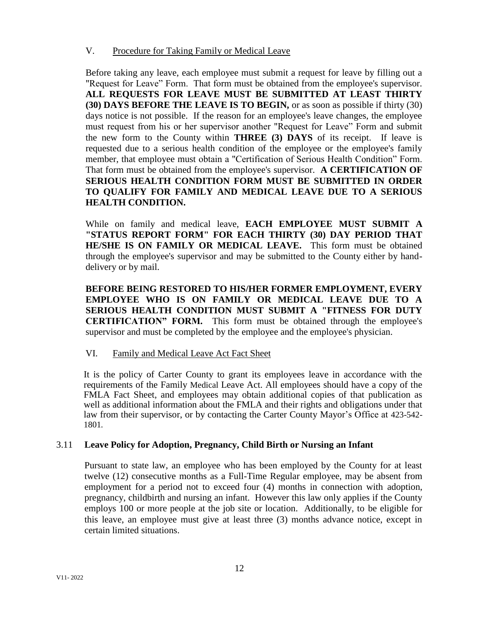# V. Procedure for Taking Family or Medical Leave

Before taking any leave, each employee must submit a request for leave by filling out a "Request for Leave" Form. That form must be obtained from the employee's supervisor. **ALL REQUESTS FOR LEAVE MUST BE SUBMITTED AT LEAST THIRTY (30) DAYS BEFORE THE LEAVE IS TO BEGIN,** or as soon as possible if thirty (30) days notice is not possible. If the reason for an employee's leave changes, the employee must request from his or her supervisor another "Request for Leave" Form and submit the new form to the County within **THREE (3) DAYS** of its receipt. If leave is requested due to a serious health condition of the employee or the employee's family member, that employee must obtain a "Certification of Serious Health Condition" Form. That form must be obtained from the employee's supervisor. **A CERTIFICATION OF SERIOUS HEALTH CONDITION FORM MUST BE SUBMITTED IN ORDER TO QUALIFY FOR FAMILY AND MEDICAL LEAVE DUE TO A SERIOUS HEALTH CONDITION.**

While on family and medical leave, **EACH EMPLOYEE MUST SUBMIT A "STATUS REPORT FORM" FOR EACH THIRTY (30) DAY PERIOD THAT HE/SHE IS ON FAMILY OR MEDICAL LEAVE.** This form must be obtained through the employee's supervisor and may be submitted to the County either by handdelivery or by mail.

**BEFORE BEING RESTORED TO HIS/HER FORMER EMPLOYMENT, EVERY EMPLOYEE WHO IS ON FAMILY OR MEDICAL LEAVE DUE TO A SERIOUS HEALTH CONDITION MUST SUBMIT A "FITNESS FOR DUTY CERTIFICATION" FORM.** This form must be obtained through the employee's supervisor and must be completed by the employee and the employee's physician.

# VI. Family and Medical Leave Act Fact Sheet

It is the policy of Carter County to grant its employees leave in accordance with the requirements of the Family Medical Leave Act. All employees should have a copy of the FMLA Fact Sheet, and employees may obtain additional copies of that publication as well as additional information about the FMLA and their rights and obligations under that law from their supervisor, or by contacting the Carter County Mayor's Office at 423-542- 1801*.* 

# 3.11 **Leave Policy for Adoption, Pregnancy, Child Birth or Nursing an Infant**

Pursuant to state law, an employee who has been employed by the County for at least twelve (12) consecutive months as a Full-Time Regular employee, may be absent from employment for a period not to exceed four (4) months in connection with adoption, pregnancy, childbirth and nursing an infant. However this law only applies if the County employs 100 or more people at the job site or location. Additionally, to be eligible for this leave, an employee must give at least three (3) months advance notice, except in certain limited situations.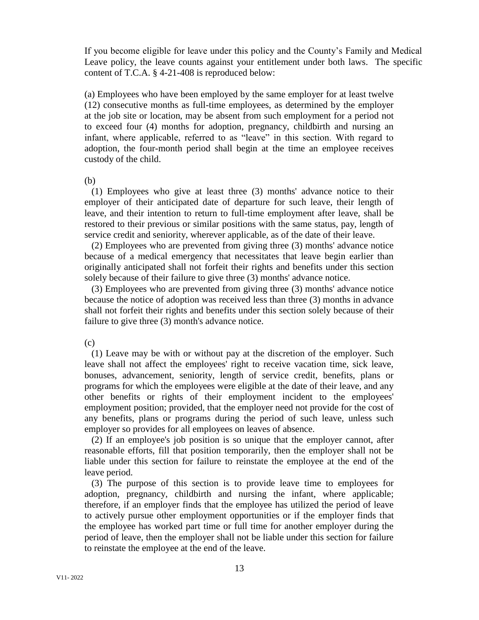If you become eligible for leave under this policy and the County's Family and Medical Leave policy, the leave counts against your entitlement under both laws. The specific content of T.C.A. § 4-21-408 is reproduced below:

(a) Employees who have been employed by the same employer for at least twelve (12) consecutive months as full-time employees, as determined by the employer at the job site or location, may be absent from such employment for a period not to exceed four (4) months for adoption, pregnancy, childbirth and nursing an infant, where applicable, referred to as "leave" in this section. With regard to adoption, the four-month period shall begin at the time an employee receives custody of the child.

(b)

 (1) Employees who give at least three (3) months' advance notice to their employer of their anticipated date of departure for such leave, their length of leave, and their intention to return to full-time employment after leave, shall be restored to their previous or similar positions with the same status, pay, length of service credit and seniority, wherever applicable, as of the date of their leave.

 (2) Employees who are prevented from giving three (3) months' advance notice because of a medical emergency that necessitates that leave begin earlier than originally anticipated shall not forfeit their rights and benefits under this section solely because of their failure to give three (3) months' advance notice.

 (3) Employees who are prevented from giving three (3) months' advance notice because the notice of adoption was received less than three (3) months in advance shall not forfeit their rights and benefits under this section solely because of their failure to give three (3) month's advance notice.

(c)

 (1) Leave may be with or without pay at the discretion of the employer. Such leave shall not affect the employees' right to receive vacation time, sick leave, bonuses, advancement, seniority, length of service credit, benefits, plans or programs for which the employees were eligible at the date of their leave, and any other benefits or rights of their employment incident to the employees' employment position; provided, that the employer need not provide for the cost of any benefits, plans or programs during the period of such leave, unless such employer so provides for all employees on leaves of absence.

 (2) If an employee's job position is so unique that the employer cannot, after reasonable efforts, fill that position temporarily, then the employer shall not be liable under this section for failure to reinstate the employee at the end of the leave period.

 (3) The purpose of this section is to provide leave time to employees for adoption, pregnancy, childbirth and nursing the infant, where applicable; therefore, if an employer finds that the employee has utilized the period of leave to actively pursue other employment opportunities or if the employer finds that the employee has worked part time or full time for another employer during the period of leave, then the employer shall not be liable under this section for failure to reinstate the employee at the end of the leave.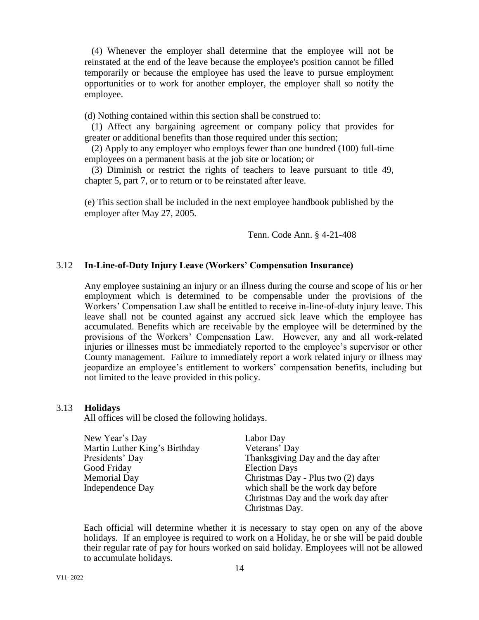(4) Whenever the employer shall determine that the employee will not be reinstated at the end of the leave because the employee's position cannot be filled temporarily or because the employee has used the leave to pursue employment opportunities or to work for another employer, the employer shall so notify the employee.

(d) Nothing contained within this section shall be construed to:

 (1) Affect any bargaining agreement or company policy that provides for greater or additional benefits than those required under this section;

 (2) Apply to any employer who employs fewer than one hundred (100) full-time employees on a permanent basis at the job site or location; or

 (3) Diminish or restrict the rights of teachers to leave pursuant to title 49, chapter 5, part 7, or to return or to be reinstated after leave.

(e) This section shall be included in the next employee handbook published by the employer after May 27, 2005.

Tenn. Code Ann. § 4-21-408

### 3.12 **In-Line-of-Duty Injury Leave (Workers' Compensation Insurance)**

Any employee sustaining an injury or an illness during the course and scope of his or her employment which is determined to be compensable under the provisions of the Workers' Compensation Law shall be entitled to receive in-line-of-duty injury leave. This leave shall not be counted against any accrued sick leave which the employee has accumulated. Benefits which are receivable by the employee will be determined by the provisions of the Workers' Compensation Law. However, any and all work-related injuries or illnesses must be immediately reported to the employee's supervisor or other County management. Failure to immediately report a work related injury or illness may jeopardize an employee's entitlement to workers' compensation benefits, including but not limited to the leave provided in this policy.

#### 3.13 **Holidays**

All offices will be closed the following holidays.

| New Year's Day                | Labor Day                            |
|-------------------------------|--------------------------------------|
| Martin Luther King's Birthday | Veterans' Day                        |
| Presidents' Day               | Thanksgiving Day and the day after   |
| Good Friday                   | <b>Election Days</b>                 |
| Memorial Day                  | Christmas Day - Plus two (2) days    |
| Independence Day              | which shall be the work day before   |
|                               | Christmas Day and the work day after |
|                               | Christmas Day.                       |

Each official will determine whether it is necessary to stay open on any of the above holidays. If an employee is required to work on a Holiday, he or she will be paid double their regular rate of pay for hours worked on said holiday. Employees will not be allowed to accumulate holidays.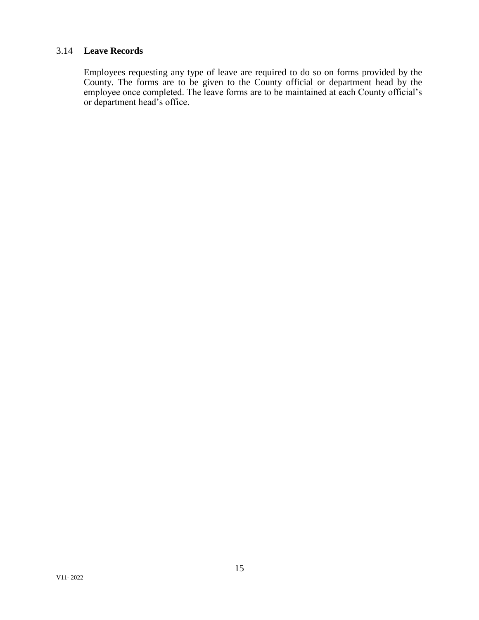# 3.14 **Leave Records**

Employees requesting any type of leave are required to do so on forms provided by the County. The forms are to be given to the County official or department head by the employee once completed. The leave forms are to be maintained at each County official's or department head's office.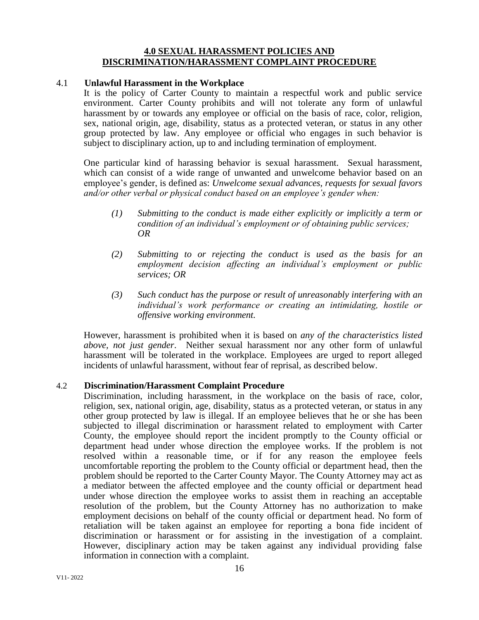### **4.0 SEXUAL HARASSMENT POLICIES AND DISCRIMINATION/HARASSMENT COMPLAINT PROCEDURE**

### 4.1 **Unlawful Harassment in the Workplace**

It is the policy of Carter County to maintain a respectful work and public service environment. Carter County prohibits and will not tolerate any form of unlawful harassment by or towards any employee or official on the basis of race, color, religion, sex, national origin, age, disability, status as a protected veteran, or status in any other group protected by law. Any employee or official who engages in such behavior is subject to disciplinary action, up to and including termination of employment.

One particular kind of harassing behavior is sexual harassment. Sexual harassment, which can consist of a wide range of unwanted and unwelcome behavior based on an employee's gender, is defined as: *Unwelcome sexual advances, requests for sexual favors and/or other verbal or physical conduct based on an employee's gender when:*

- *(1) Submitting to the conduct is made either explicitly or implicitly a term or condition of an individual's employment or of obtaining public services; OR*
- *(2) Submitting to or rejecting the conduct is used as the basis for an employment decision affecting an individual's employment or public services; OR*
- *(3) Such conduct has the purpose or result of unreasonably interfering with an individual's work performance or creating an intimidating, hostile or offensive working environment.*

However, harassment is prohibited when it is based on *any of the characteristics listed above, not just gender*. Neither sexual harassment nor any other form of unlawful harassment will be tolerated in the workplace. Employees are urged to report alleged incidents of unlawful harassment, without fear of reprisal, as described below.

# 4.2 **Discrimination/Harassment Complaint Procedure**

Discrimination, including harassment, in the workplace on the basis of race, color, religion, sex, national origin, age, disability, status as a protected veteran, or status in any other group protected by law is illegal. If an employee believes that he or she has been subjected to illegal discrimination or harassment related to employment with Carter County, the employee should report the incident promptly to the County official or department head under whose direction the employee works. If the problem is not resolved within a reasonable time, or if for any reason the employee feels uncomfortable reporting the problem to the County official or department head, then the problem should be reported to the Carter County Mayor. The County Attorney may act as a mediator between the affected employee and the county official or department head under whose direction the employee works to assist them in reaching an acceptable resolution of the problem, but the County Attorney has no authorization to make employment decisions on behalf of the county official or department head. No form of retaliation will be taken against an employee for reporting a bona fide incident of discrimination or harassment or for assisting in the investigation of a complaint. However, disciplinary action may be taken against any individual providing false information in connection with a complaint.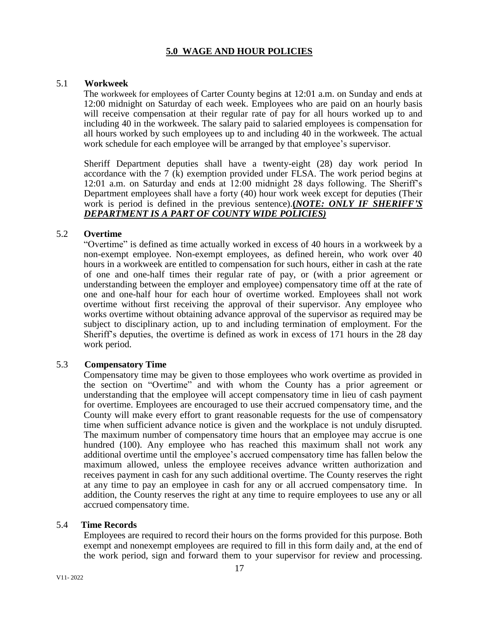# **5.0 WAGE AND HOUR POLICIES**

### 5.1 **Workweek**

The workweek for employees of Carter County begins at 12:01 a.m. on Sunday and ends at 12:00 midnight on Saturday of each week. Employees who are paid on an hourly basis will receive compensation at their regular rate of pay for all hours worked up to and including 40 in the workweek. The salary paid to salaried employees is compensation for all hours worked by such employees up to and including 40 in the workweek. The actual work schedule for each employee will be arranged by that employee's supervisor.

Sheriff Department deputies shall have a twenty-eight (28) day work period In accordance with the 7 (k) exemption provided under FLSA. The work period begins at 12:01 a.m. on Saturday and ends at 12:00 midnight 28 days following. The Sheriff's Department employees shall have a forty (40) hour work week except for deputies (Their work is period is defined in the previous sentence).**(***NOTE: ONLY IF SHERIFF'S DEPARTMENT IS A PART OF COUNTY WIDE POLICIES)*

### 5.2 **Overtime**

"Overtime" is defined as time actually worked in excess of 40 hours in a workweek by a non-exempt employee. Non-exempt employees, as defined herein, who work over 40 hours in a workweek are entitled to compensation for such hours, either in cash at the rate of one and one-half times their regular rate of pay, or (with a prior agreement or understanding between the employer and employee) compensatory time off at the rate of one and one-half hour for each hour of overtime worked. Employees shall not work overtime without first receiving the approval of their supervisor. Any employee who works overtime without obtaining advance approval of the supervisor as required may be subject to disciplinary action, up to and including termination of employment. For the Sheriff's deputies, the overtime is defined as work in excess of 171 hours in the 28 day work period.

### 5.3 **Compensatory Time**

Compensatory time may be given to those employees who work overtime as provided in the section on "Overtime" and with whom the County has a prior agreement or understanding that the employee will accept compensatory time in lieu of cash payment for overtime. Employees are encouraged to use their accrued compensatory time, and the County will make every effort to grant reasonable requests for the use of compensatory time when sufficient advance notice is given and the workplace is not unduly disrupted. The maximum number of compensatory time hours that an employee may accrue is one hundred (100). Any employee who has reached this maximum shall not work any additional overtime until the employee's accrued compensatory time has fallen below the maximum allowed, unless the employee receives advance written authorization and receives payment in cash for any such additional overtime. The County reserves the right at any time to pay an employee in cash for any or all accrued compensatory time. In addition, the County reserves the right at any time to require employees to use any or all accrued compensatory time.

### 5.4 **Time Records**

Employees are required to record their hours on the forms provided for this purpose. Both exempt and nonexempt employees are required to fill in this form daily and, at the end of the work period, sign and forward them to your supervisor for review and processing.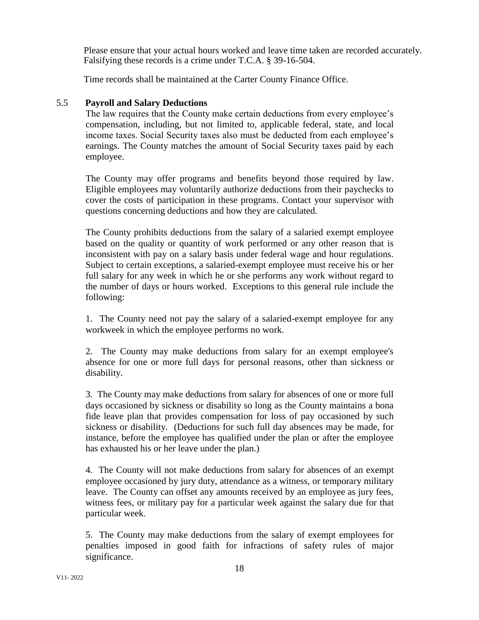Please ensure that your actual hours worked and leave time taken are recorded accurately. Falsifying these records is a crime under T.C.A. § 39-16-504.

Time records shall be maintained at the Carter County Finance Office.

# 5.5 **Payroll and Salary Deductions**

The law requires that the County make certain deductions from every employee's compensation, including, but not limited to, applicable federal, state, and local income taxes. Social Security taxes also must be deducted from each employee's earnings. The County matches the amount of Social Security taxes paid by each employee.

The County may offer programs and benefits beyond those required by law. Eligible employees may voluntarily authorize deductions from their paychecks to cover the costs of participation in these programs. Contact your supervisor with questions concerning deductions and how they are calculated.

The County prohibits deductions from the salary of a salaried exempt employee based on the quality or quantity of work performed or any other reason that is inconsistent with pay on a salary basis under federal wage and hour regulations. Subject to certain exceptions, a salaried-exempt employee must receive his or her full salary for any week in which he or she performs any work without regard to the number of days or hours worked. Exceptions to this general rule include the following:

1. The County need not pay the salary of a salaried-exempt employee for any workweek in which the employee performs no work.

2. The County may make deductions from salary for an exempt employee's absence for one or more full days for personal reasons, other than sickness or disability.

3. The County may make deductions from salary for absences of one or more full days occasioned by sickness or disability so long as the County maintains a bona fide leave plan that provides compensation for loss of pay occasioned by such sickness or disability. (Deductions for such full day absences may be made, for instance, before the employee has qualified under the plan or after the employee has exhausted his or her leave under the plan.)

4. The County will not make deductions from salary for absences of an exempt employee occasioned by jury duty, attendance as a witness, or temporary military leave. The County can offset any amounts received by an employee as jury fees, witness fees, or military pay for a particular week against the salary due for that particular week.

5. The County may make deductions from the salary of exempt employees for penalties imposed in good faith for infractions of safety rules of major significance.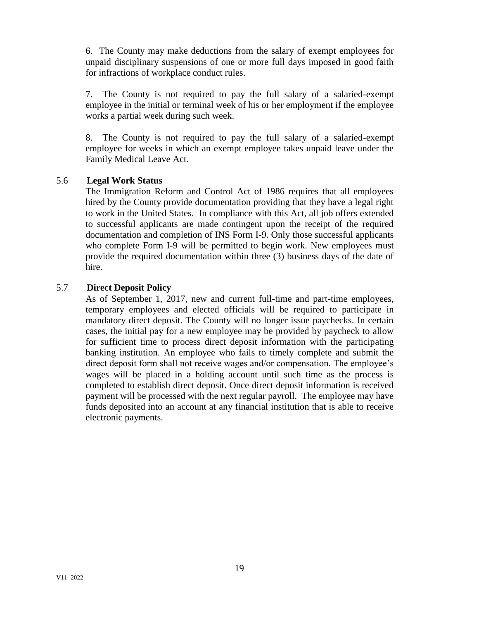6. The County may make deductions from the salary of exempt employees for unpaid disciplinary suspensions of one or more full days imposed in good faith for infractions of workplace conduct rules.

7. The County is not required to pay the full salary of a salaried-exempt employee in the initial or terminal week of his or her employment if the employee works a partial week during such week.

8. The County is not required to pay the full salary of a salaried-exempt employee for weeks in which an exempt employee takes unpaid leave under the Family Medical Leave Act.

# 5.6 **Legal Work Status**

The Immigration Reform and Control Act of 1986 requires that all employees hired by the County provide documentation providing that they have a legal right to work in the United States. In compliance with this Act, all job offers extended to successful applicants are made contingent upon the receipt of the required documentation and completion of INS Form I-9. Only those successful applicants who complete Form I-9 will be permitted to begin work. New employees must provide the required documentation within three (3) business days of the date of hire.

# 5.7 **Direct Deposit Policy**

As of September 1, 2017, new and current full-time and part-time employees, temporary employees and elected officials will be required to participate in mandatory direct deposit. The County will no longer issue paychecks. In certain cases, the initial pay for a new employee may be provided by paycheck to allow for sufficient time to process direct deposit information with the participating banking institution. An employee who fails to timely complete and submit the direct deposit form shall not receive wages and/or compensation. The employee's wages will be placed in a holding account until such time as the process is completed to establish direct deposit. Once direct deposit information is received payment will be processed with the next regular payroll. The employee may have funds deposited into an account at any financial institution that is able to receive electronic payments.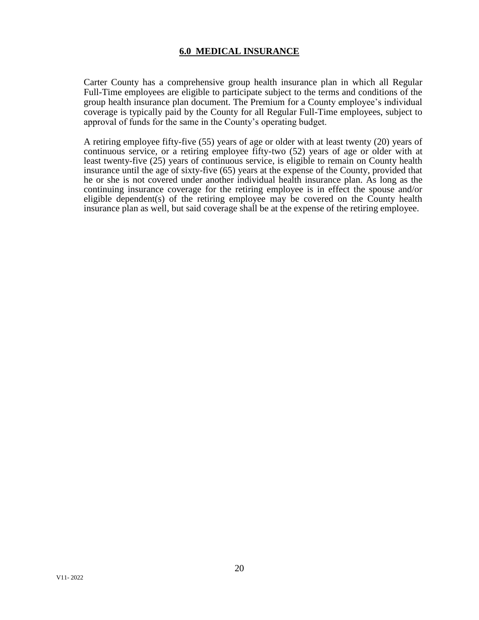# **6.0****MEDICAL INSURANCE**

Carter County has a comprehensive group health insurance plan in which all Regular Full-Time employees are eligible to participate subject to the terms and conditions of the group health insurance plan document. The Premium for a County employee's individual coverage is typically paid by the County for all Regular Full-Time employees, subject to approval of funds for the same in the County's operating budget.

A retiring employee fifty-five (55) years of age or older with at least twenty (20) years of continuous service, or a retiring employee fifty-two (52) years of age or older with at least twenty-five (25) years of continuous service, is eligible to remain on County health insurance until the age of sixty-five (65) years at the expense of the County, provided that he or she is not covered under another individual health insurance plan. As long as the continuing insurance coverage for the retiring employee is in effect the spouse and/or eligible dependent(s) of the retiring employee may be covered on the County health insurance plan as well, but said coverage shall be at the expense of the retiring employee.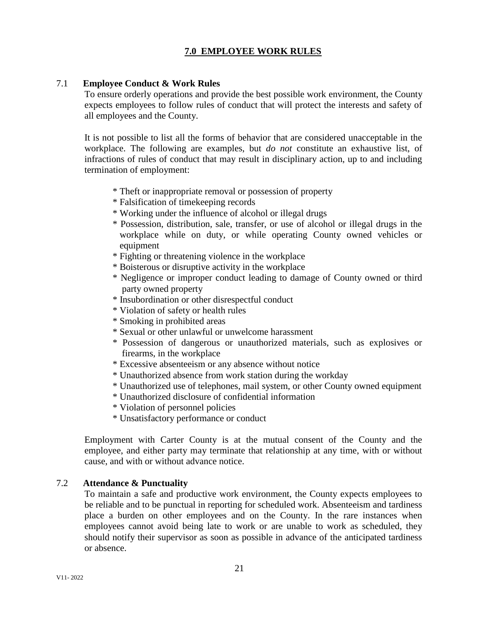# **7.0 EMPLOYEE WORK RULES**

### 7.1 **Employee Conduct & Work Rules**

To ensure orderly operations and provide the best possible work environment, the County expects employees to follow rules of conduct that will protect the interests and safety of all employees and the County.

It is not possible to list all the forms of behavior that are considered unacceptable in the workplace. The following are examples, but *do not* constitute an exhaustive list, of infractions of rules of conduct that may result in disciplinary action, up to and including termination of employment:

- \* Theft or inappropriate removal or possession of property
- \* Falsification of timekeeping records
- \* Working under the influence of alcohol or illegal drugs
- \* Possession, distribution, sale, transfer, or use of alcohol or illegal drugs in the workplace while on duty, or while operating County owned vehicles or equipment
- \* Fighting or threatening violence in the workplace
- \* Boisterous or disruptive activity in the workplace
- \* Negligence or improper conduct leading to damage of County owned or third party owned property
- \* Insubordination or other disrespectful conduct
- \* Violation of safety or health rules
- \* Smoking in prohibited areas
- \* Sexual or other unlawful or unwelcome harassment
- \* Possession of dangerous or unauthorized materials, such as explosives or firearms, in the workplace
- \* Excessive absenteeism or any absence without notice
- \* Unauthorized absence from work station during the workday
- \* Unauthorized use of telephones, mail system, or other County owned equipment
- \* Unauthorized disclosure of confidential information
- \* Violation of personnel policies
- \* Unsatisfactory performance or conduct

Employment with Carter County is at the mutual consent of the County and the employee, and either party may terminate that relationship at any time, with or without cause, and with or without advance notice.

# 7.2 **Attendance & Punctuality**

To maintain a safe and productive work environment, the County expects employees to be reliable and to be punctual in reporting for scheduled work. Absenteeism and tardiness place a burden on other employees and on the County. In the rare instances when employees cannot avoid being late to work or are unable to work as scheduled, they should notify their supervisor as soon as possible in advance of the anticipated tardiness or absence.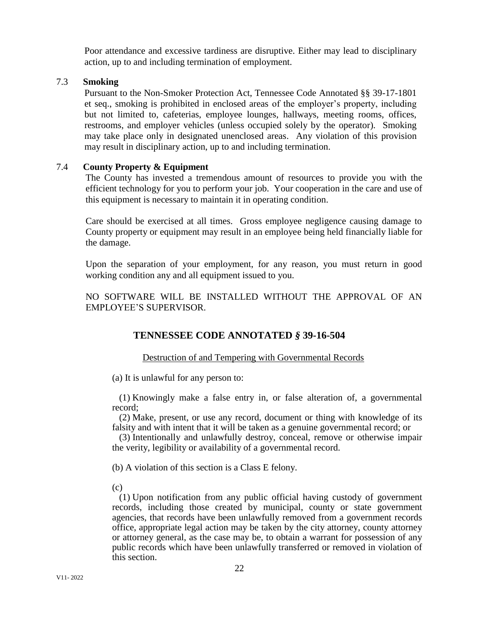Poor attendance and excessive tardiness are disruptive. Either may lead to disciplinary action, up to and including termination of employment.

### 7.3 **Smoking**

Pursuant to the Non-Smoker Protection Act, Tennessee Code Annotated §§ 39-17-1801 et seq., smoking is prohibited in enclosed areas of the employer's property, including but not limited to, cafeterias, employee lounges, hallways, meeting rooms, offices, restrooms, and employer vehicles (unless occupied solely by the operator). Smoking may take place only in designated unenclosed areas. Any violation of this provision may result in disciplinary action, up to and including termination.

#### 7.4 **County Property & Equipment**

The County has invested a tremendous amount of resources to provide you with the efficient technology for you to perform your job. Your cooperation in the care and use of this equipment is necessary to maintain it in operating condition.

Care should be exercised at all times. Gross employee negligence causing damage to County property or equipment may result in an employee being held financially liable for the damage.

Upon the separation of your employment, for any reason, you must return in good working condition any and all equipment issued to you.

NO SOFTWARE WILL BE INSTALLED WITHOUT THE APPROVAL OF AN EMPLOYEE'S SUPERVISOR.

# **TENNESSEE CODE ANNOTATED** *§* **39-16-504**

#### Destruction of and Tempering with Governmental Records

(a) It is unlawful for any person to:

 (1) Knowingly make a false entry in, or false alteration of, a governmental record;

 (2) Make, present, or use any record, document or thing with knowledge of its falsity and with intent that it will be taken as a genuine governmental record; or

 (3) Intentionally and unlawfully destroy, conceal, remove or otherwise impair the verity, legibility or availability of a governmental record.

(b) A violation of this section is a Class E felony.

 $(c)$ 

 (1) Upon notification from any public official having custody of government records, including those created by municipal, county or state government agencies, that records have been unlawfully removed from a government records office, appropriate legal action may be taken by the city attorney, county attorney or attorney general, as the case may be, to obtain a warrant for possession of any public records which have been unlawfully transferred or removed in violation of this section.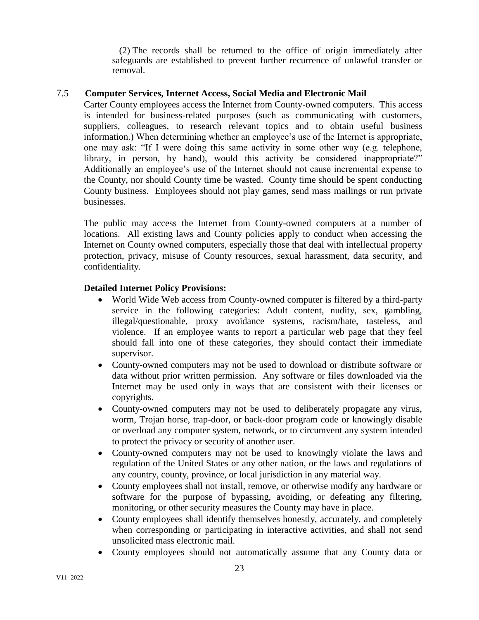(2) The records shall be returned to the office of origin immediately after safeguards are established to prevent further recurrence of unlawful transfer or removal.

# 7.5 **Computer Services, Internet Access, Social Media and Electronic Mail**

Carter County employees access the Internet from County-owned computers. This access is intended for business-related purposes (such as communicating with customers, suppliers, colleagues, to research relevant topics and to obtain useful business information.) When determining whether an employee's use of the Internet is appropriate, one may ask: "If I were doing this same activity in some other way (e.g. telephone, library, in person, by hand), would this activity be considered inappropriate?" Additionally an employee's use of the Internet should not cause incremental expense to the County, nor should County time be wasted. County time should be spent conducting County business. Employees should not play games, send mass mailings or run private businesses.

The public may access the Internet from County-owned computers at a number of locations. All existing laws and County policies apply to conduct when accessing the Internet on County owned computers, especially those that deal with intellectual property protection, privacy, misuse of County resources, sexual harassment, data security, and confidentiality.

# **Detailed Internet Policy Provisions:**

- World Wide Web access from County-owned computer is filtered by a third-party service in the following categories: Adult content, nudity, sex, gambling, illegal/questionable, proxy avoidance systems, racism/hate, tasteless, and violence. If an employee wants to report a particular web page that they feel should fall into one of these categories, they should contact their immediate supervisor.
- County-owned computers may not be used to download or distribute software or data without prior written permission. Any software or files downloaded via the Internet may be used only in ways that are consistent with their licenses or copyrights.
- County-owned computers may not be used to deliberately propagate any virus, worm, Trojan horse, trap-door, or back-door program code or knowingly disable or overload any computer system, network, or to circumvent any system intended to protect the privacy or security of another user.
- County-owned computers may not be used to knowingly violate the laws and regulation of the United States or any other nation, or the laws and regulations of any country, county, province, or local jurisdiction in any material way.
- County employees shall not install, remove, or otherwise modify any hardware or software for the purpose of bypassing, avoiding, or defeating any filtering, monitoring, or other security measures the County may have in place.
- County employees shall identify themselves honestly, accurately, and completely when corresponding or participating in interactive activities, and shall not send unsolicited mass electronic mail.
- County employees should not automatically assume that any County data or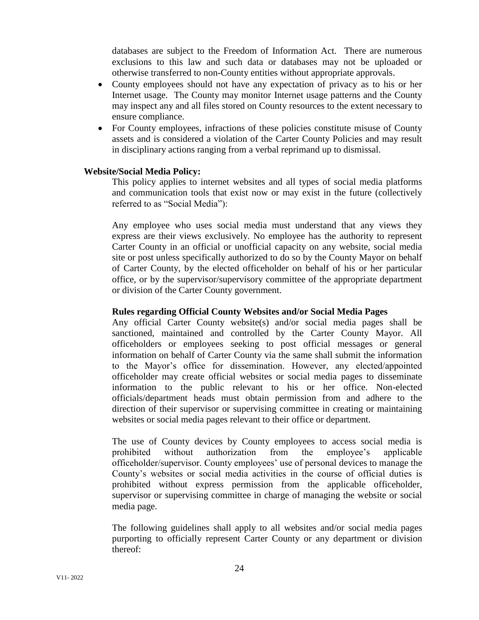databases are subject to the Freedom of Information Act. There are numerous exclusions to this law and such data or databases may not be uploaded or otherwise transferred to non-County entities without appropriate approvals.

- County employees should not have any expectation of privacy as to his or her Internet usage. The County may monitor Internet usage patterns and the County may inspect any and all files stored on County resources to the extent necessary to ensure compliance.
- For County employees, infractions of these policies constitute misuse of County assets and is considered a violation of the Carter County Policies and may result in disciplinary actions ranging from a verbal reprimand up to dismissal.

### **Website/Social Media Policy:**

This policy applies to internet websites and all types of social media platforms and communication tools that exist now or may exist in the future (collectively referred to as "Social Media"):

Any employee who uses social media must understand that any views they express are their views exclusively. No employee has the authority to represent Carter County in an official or unofficial capacity on any website, social media site or post unless specifically authorized to do so by the County Mayor on behalf of Carter County, by the elected officeholder on behalf of his or her particular office, or by the supervisor/supervisory committee of the appropriate department or division of the Carter County government.

### **Rules regarding Official County Websites and/or Social Media Pages**

Any official Carter County website(s) and/or social media pages shall be sanctioned, maintained and controlled by the Carter County Mayor. All officeholders or employees seeking to post official messages or general information on behalf of Carter County via the same shall submit the information to the Mayor's office for dissemination. However, any elected/appointed officeholder may create official websites or social media pages to disseminate information to the public relevant to his or her office. Non-elected officials/department heads must obtain permission from and adhere to the direction of their supervisor or supervising committee in creating or maintaining websites or social media pages relevant to their office or department.

The use of County devices by County employees to access social media is prohibited without authorization from the employee's applicable officeholder/supervisor. County employees' use of personal devices to manage the County's websites or social media activities in the course of official duties is prohibited without express permission from the applicable officeholder, supervisor or supervising committee in charge of managing the website or social media page.

The following guidelines shall apply to all websites and/or social media pages purporting to officially represent Carter County or any department or division thereof: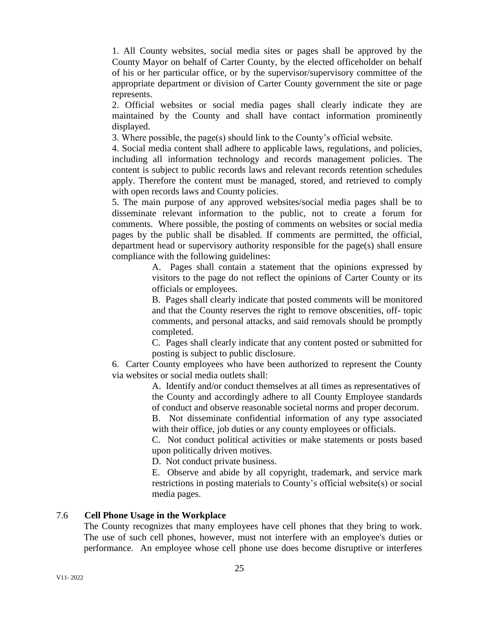1. All County websites, social media sites or pages shall be approved by the County Mayor on behalf of Carter County, by the elected officeholder on behalf of his or her particular office, or by the supervisor/supervisory committee of the appropriate department or division of Carter County government the site or page represents.

2. Official websites or social media pages shall clearly indicate they are maintained by the County and shall have contact information prominently displayed.

3. Where possible, the page(s) should link to the County's official website.

4. Social media content shall adhere to applicable laws, regulations, and policies, including all information technology and records management policies. The content is subject to public records laws and relevant records retention schedules apply. Therefore the content must be managed, stored, and retrieved to comply with open records laws and County policies.

5. The main purpose of any approved websites/social media pages shall be to disseminate relevant information to the public, not to create a forum for comments. Where possible, the posting of comments on websites or social media pages by the public shall be disabled. If comments are permitted, the official, department head or supervisory authority responsible for the page(s) shall ensure compliance with the following guidelines:

> A. Pages shall contain a statement that the opinions expressed by visitors to the page do not reflect the opinions of Carter County or its officials or employees.

> B. Pages shall clearly indicate that posted comments will be monitored and that the County reserves the right to remove obscenities, off- topic comments, and personal attacks, and said removals should be promptly completed.

> C. Pages shall clearly indicate that any content posted or submitted for posting is subject to public disclosure.

6. Carter County employees who have been authorized to represent the County via websites or social media outlets shall:

> A. Identify and/or conduct themselves at all times as representatives of the County and accordingly adhere to all County Employee standards of conduct and observe reasonable societal norms and proper decorum.

> B. Not disseminate confidential information of any type associated with their office, job duties or any county employees or officials.

> C. Not conduct political activities or make statements or posts based upon politically driven motives.

D. Not conduct private business.

E. Observe and abide by all copyright, trademark, and service mark restrictions in posting materials to County's official website(s) or social media pages.

# 7.6 **Cell Phone Usage in the Workplace**

The County recognizes that many employees have cell phones that they bring to work. The use of such cell phones, however, must not interfere with an employee's duties or performance. An employee whose cell phone use does become disruptive or interferes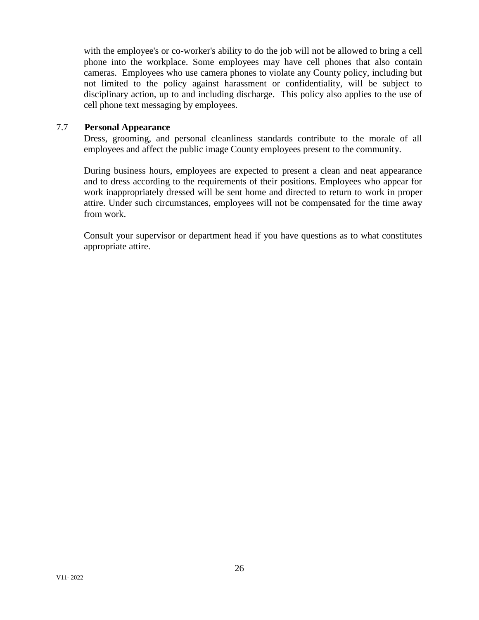with the employee's or co-worker's ability to do the job will not be allowed to bring a cell phone into the workplace. Some employees may have cell phones that also contain cameras. Employees who use camera phones to violate any County policy, including but not limited to the policy against harassment or confidentiality, will be subject to disciplinary action, up to and including discharge. This policy also applies to the use of cell phone text messaging by employees.

### 7.7 **Personal Appearance**

Dress, grooming, and personal cleanliness standards contribute to the morale of all employees and affect the public image County employees present to the community.

During business hours, employees are expected to present a clean and neat appearance and to dress according to the requirements of their positions. Employees who appear for work inappropriately dressed will be sent home and directed to return to work in proper attire. Under such circumstances, employees will not be compensated for the time away from work.

Consult your supervisor or department head if you have questions as to what constitutes appropriate attire.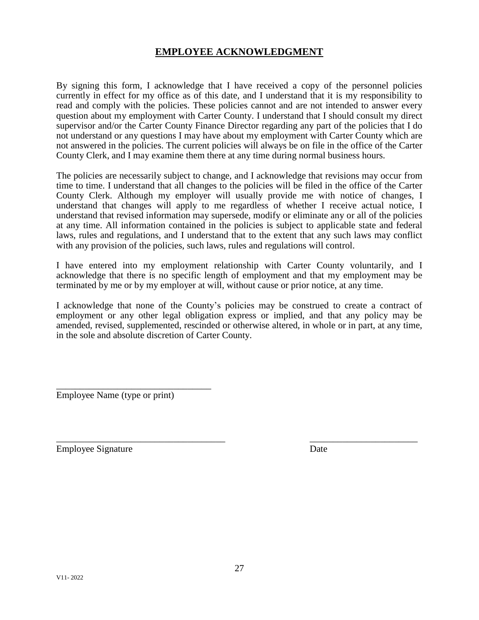# **EMPLOYEE ACKNOWLEDGMENT**

By signing this form, I acknowledge that I have received a copy of the personnel policies currently in effect for my office as of this date, and I understand that it is my responsibility to read and comply with the policies. These policies cannot and are not intended to answer every question about my employment with Carter County. I understand that I should consult my direct supervisor and/or the Carter County Finance Director regarding any part of the policies that I do not understand or any questions I may have about my employment with Carter County which are not answered in the policies. The current policies will always be on file in the office of the Carter County Clerk, and I may examine them there at any time during normal business hours.

The policies are necessarily subject to change, and I acknowledge that revisions may occur from time to time. I understand that all changes to the policies will be filed in the office of the Carter County Clerk. Although my employer will usually provide me with notice of changes, I understand that changes will apply to me regardless of whether I receive actual notice, I understand that revised information may supersede, modify or eliminate any or all of the policies at any time. All information contained in the policies is subject to applicable state and federal laws, rules and regulations, and I understand that to the extent that any such laws may conflict with any provision of the policies, such laws, rules and regulations will control.

I have entered into my employment relationship with Carter County voluntarily, and I acknowledge that there is no specific length of employment and that my employment may be terminated by me or by my employer at will, without cause or prior notice, at any time.

I acknowledge that none of the County's policies may be construed to create a contract of employment or any other legal obligation express or implied, and that any policy may be amended, revised, supplemented, rescinded or otherwise altered, in whole or in part, at any time, in the sole and absolute discretion of Carter County.

 $\overline{\phantom{a}}$  , and the contract of the contract of the contract of the contract of the contract of the contract of the contract of the contract of the contract of the contract of the contract of the contract of the contrac

\_\_\_\_\_\_\_\_\_\_\_\_\_\_\_\_\_\_\_\_\_\_\_\_\_\_\_\_\_\_\_\_\_ Employee Name (type or print)

Employee Signature Date